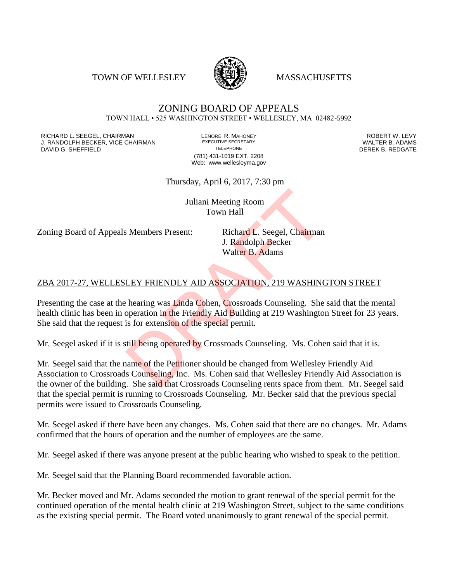TOWN OF WELLESLEY **WASSACHUSETTS** 



#### ZONING BOARD OF APPEALS TOWN HALL • 525 WASHINGTON STREET • WELLESLEY, MA 02482-5992

RICHARD L. SEEGEL, CHAIRMAN LENORE R. MAHONEY ROBERT W. LEVY J. RANDOLPH BECKER, VICE CHAIRMAN EXECUTIVE SECRETARY THE SECRETARY THE SANDOLPH BECKER B. ADAMS<br>DEREK B. REDGATE DAVID G. SHEFFIELD

(781) 431-1019 EXT. 2208 Web: www.wellesleyma.gov

Thursday, April 6, 2017, 7:30 pm

Juliani Meeting Room Town Hall

Zoning Board of Appeals Members Present: Richard L. Seegel, Chairman

J. Randolph Becker Walter B. Adams

## ZBA 2017-27, WELLESLEY FRIENDLY AID ASSOCIATION, 219 WASHINGTON STREET

Presenting the case at the hearing was Linda Cohen, Crossroads Counseling. She said that the mental health clinic has been in operation in the Friendly Aid Building at 219 Washington Street for 23 years. She said that the request is for extension of the special permit.

Mr. Seegel asked if it is still being operated by Crossroads Counseling. Ms. Cohen said that it is.

Mr. Seegel said that the name of the Petitioner should be changed from Wellesley Friendly Aid Association to Crossroads Counseling, Inc. Ms. Cohen said that Wellesley Friendly Aid Association is the owner of the building. She said that Crossroads Counseling rents space from them. Mr. Seegel said that the special permit is running to Crossroads Counseling. Mr. Becker said that the previous special permits were issued to Crossroads Counseling. Juliani Meeting Room<br>
Town Hall<br>
S. Members Present: Richard L. Seegel, Chairman<br>
J. Randolph Becker<br>
Walter B. Adams<br>
LEY FRIENDLY AID ASSOCIATION, 219 WASHING<br>
hearing was Linda Cohen, Crossroads Counseling. She<br>
operati

Mr. Seegel asked if there have been any changes. Ms. Cohen said that there are no changes. Mr. Adams confirmed that the hours of operation and the number of employees are the same.

Mr. Seegel asked if there was anyone present at the public hearing who wished to speak to the petition.

Mr. Seegel said that the Planning Board recommended favorable action.

Mr. Becker moved and Mr. Adams seconded the motion to grant renewal of the special permit for the continued operation of the mental health clinic at 219 Washington Street, subject to the same conditions as the existing special permit. The Board voted unanimously to grant renewal of the special permit.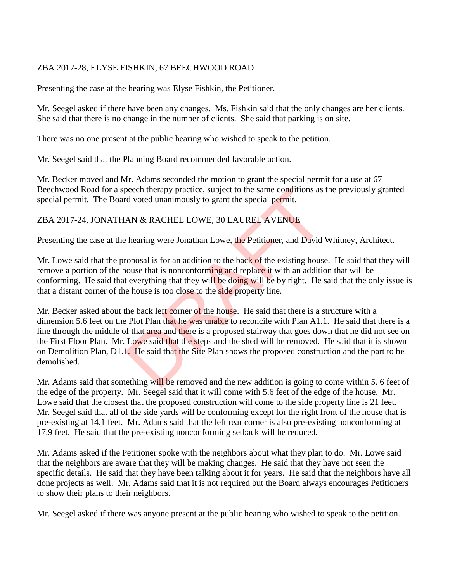## ZBA 2017-28, ELYSE FISHKIN, 67 BEECHWOOD ROAD

Presenting the case at the hearing was Elyse Fishkin, the Petitioner.

Mr. Seegel asked if there have been any changes. Ms. Fishkin said that the only changes are her clients. She said that there is no change in the number of clients. She said that parking is on site.

There was no one present at the public hearing who wished to speak to the petition.

Mr. Seegel said that the Planning Board recommended favorable action.

Mr. Becker moved and Mr. Adams seconded the motion to grant the special permit for a use at 67 Beechwood Road for a speech therapy practice, subject to the same conditions as the previously granted special permit. The Board voted unanimously to grant the special permit.

# ZBA 2017-24, JONATHAN & RACHEL LOWE, 30 LAUREL AVENUE

Presenting the case at the hearing were Jonathan Lowe, the Petitioner, and David Whitney, Architect.

Mr. Lowe said that the proposal is for an addition to the back of the existing house. He said that they will remove a portion of the house that is nonconforming and replace it with an addition that will be conforming. He said that everything that they will be doing will be by right. He said that the only issue is that a distant corner of the house is too close to the side property line.

Mr. Becker asked about the back left corner of the house. He said that there is a structure with a dimension 5.6 feet on the Plot Plan that he was unable to reconcile with Plan A1.1. He said that there is a line through the middle of that area and there is a proposed stairway that goes down that he did not see on the First Floor Plan. Mr. Lowe said that the steps and the shed will be removed. He said that it is shown on Demolition Plan, D1.1. He said that the Site Plan shows the proposed construction and the part to be demolished. beech therapy practice, subject to the same conditions as<br>d voted unanimously to grant the special permit.<br>AN & RACHEL LOWE, 30 LAUREL AVENUE<br>thearing were Jonathan Lowe, the Petitioner, and David<br>coposal is for an additio

Mr. Adams said that something will be removed and the new addition is going to come within 5. 6 feet of the edge of the property. Mr. Seegel said that it will come with 5.6 feet of the edge of the house. Mr. Lowe said that the closest that the proposed construction will come to the side property line is 21 feet. Mr. Seegel said that all of the side yards will be conforming except for the right front of the house that is pre-existing at 14.1 feet. Mr. Adams said that the left rear corner is also pre-existing nonconforming at 17.9 feet. He said that the pre-existing nonconforming setback will be reduced.

Mr. Adams asked if the Petitioner spoke with the neighbors about what they plan to do. Mr. Lowe said that the neighbors are aware that they will be making changes. He said that they have not seen the specific details. He said that they have been talking about it for years. He said that the neighbors have all done projects as well. Mr. Adams said that it is not required but the Board always encourages Petitioners to show their plans to their neighbors.

Mr. Seegel asked if there was anyone present at the public hearing who wished to speak to the petition.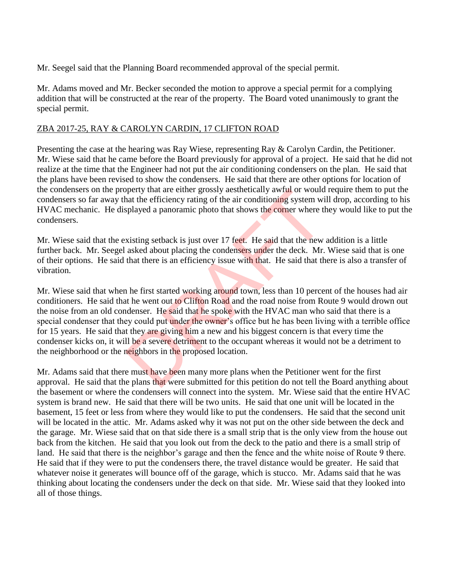Mr. Seegel said that the Planning Board recommended approval of the special permit.

Mr. Adams moved and Mr. Becker seconded the motion to approve a special permit for a complying addition that will be constructed at the rear of the property. The Board voted unanimously to grant the special permit.

#### ZBA 2017-25, RAY & CAROLYN CARDIN, 17 CLIFTON ROAD

Presenting the case at the hearing was Ray Wiese, representing Ray & Carolyn Cardin, the Petitioner. Mr. Wiese said that he came before the Board previously for approval of a project. He said that he did not realize at the time that the Engineer had not put the air conditioning condensers on the plan. He said that the plans have been revised to show the condensers. He said that there are other options for location of the condensers on the property that are either grossly aesthetically awful or would require them to put the condensers so far away that the efficiency rating of the air conditioning system will drop, according to his HVAC mechanic. He displayed a panoramic photo that shows the corner where they would like to put the condensers.

Mr. Wiese said that the existing setback is just over 17 feet. He said that the new addition is a little further back. Mr. Seegel asked about placing the condensers under the deck. Mr. Wiese said that is one of their options. He said that there is an efficiency issue with that. He said that there is also a transfer of vibration.

Mr. Wiese said that when he first started working around town, less than 10 percent of the houses had air conditioners. He said that he went out to Clifton Road and the road noise from Route 9 would drown out the noise from an old condenser. He said that he spoke with the HVAC man who said that there is a special condenser that they could put under the owner's office but he has been living with a terrible office for 15 years. He said that they are giving him a new and his biggest concern is that every time the condenser kicks on, it will be a severe detriment to the occupant whereas it would not be a detriment to the neighborhood or the neighbors in the proposed location. perty that are either grossly aesthetically awful or would<br>aat the efficiency rating of the air conditioning system wisplayed a panoramic photo that shows the corner where the<br>sixisting setback is just over 17 feet. He sai

Mr. Adams said that there must have been many more plans when the Petitioner went for the first approval. He said that the plans that were submitted for this petition do not tell the Board anything about the basement or where the condensers will connect into the system. Mr. Wiese said that the entire HVAC system is brand new. He said that there will be two units. He said that one unit will be located in the basement, 15 feet or less from where they would like to put the condensers. He said that the second unit will be located in the attic. Mr. Adams asked why it was not put on the other side between the deck and the garage. Mr. Wiese said that on that side there is a small strip that is the only view from the house out back from the kitchen. He said that you look out from the deck to the patio and there is a small strip of land. He said that there is the neighbor's garage and then the fence and the white noise of Route 9 there. He said that if they were to put the condensers there, the travel distance would be greater. He said that whatever noise it generates will bounce off of the garage, which is stucco. Mr. Adams said that he was thinking about locating the condensers under the deck on that side. Mr. Wiese said that they looked into all of those things.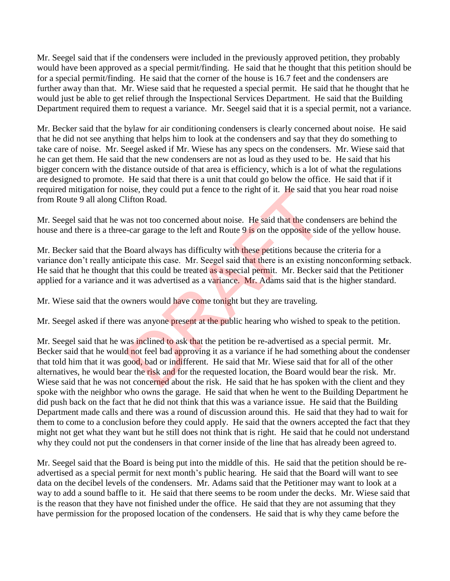Mr. Seegel said that if the condensers were included in the previously approved petition, they probably would have been approved as a special permit/finding. He said that he thought that this petition should be for a special permit/finding. He said that the corner of the house is 16.7 feet and the condensers are further away than that. Mr. Wiese said that he requested a special permit. He said that he thought that he would just be able to get relief through the Inspectional Services Department. He said that the Building Department required them to request a variance. Mr. Seegel said that it is a special permit, not a variance.

Mr. Becker said that the bylaw for air conditioning condensers is clearly concerned about noise. He said that he did not see anything that helps him to look at the condensers and say that they do something to take care of noise. Mr. Seegel asked if Mr. Wiese has any specs on the condensers. Mr. Wiese said that he can get them. He said that the new condensers are not as loud as they used to be. He said that his bigger concern with the distance outside of that area is efficiency, which is a lot of what the regulations are designed to promote. He said that there is a unit that could go below the office. He said that if it required mitigation for noise, they could put a fence to the right of it. He said that you hear road noise from Route 9 all along Clifton Road.

Mr. Seegel said that he was not too concerned about noise. He said that the condensers are behind the house and there is a three-car garage to the left and Route 9 is on the opposite side of the yellow house.

Mr. Becker said that the Board always has difficulty with these petitions because the criteria for a variance don't really anticipate this case. Mr. Seegel said that there is an existing nonconforming setback. He said that he thought that this could be treated as a special permit. Mr. Becker said that the Petitioner applied for a variance and it was advertised as a variance. Mr. Adams said that is the higher standard.

Mr. Wiese said that the owners would have come tonight but they are traveling.

Mr. Seegel asked if there was anyone present at the public hearing who wished to speak to the petition.

Mr. Seegel said that he was inclined to ask that the petition be re-advertised as a special permit. Mr. Becker said that he would not feel bad approving it as a variance if he had something about the condenser that told him that it was good, bad or indifferent. He said that Mr. Wiese said that for all of the other alternatives, he would bear the risk and for the requested location, the Board would bear the risk. Mr. Wiese said that he was not concerned about the risk. He said that he has spoken with the client and they spoke with the neighbor who owns the garage. He said that when he went to the Building Department he did push back on the fact that he did not think that this was a variance issue. He said that the Building Department made calls and there was a round of discussion around this. He said that they had to wait for them to come to a conclusion before they could apply. He said that the owners accepted the fact that they might not get what they want but he still does not think that is right. He said that he could not understand why they could not put the condensers in that corner inside of the line that has already been agreed to. but a tence to the right of it. He said that<br>lifton Road.<br>The said point of the said that the conde-<br>car garage to the left and Route 9 is on the opposite side<br>Board always has difficulty with these petitions because<br>cipat

Mr. Seegel said that the Board is being put into the middle of this. He said that the petition should be readvertised as a special permit for next month's public hearing. He said that the Board will want to see data on the decibel levels of the condensers. Mr. Adams said that the Petitioner may want to look at a way to add a sound baffle to it. He said that there seems to be room under the decks. Mr. Wiese said that is the reason that they have not finished under the office. He said that they are not assuming that they have permission for the proposed location of the condensers. He said that is why they came before the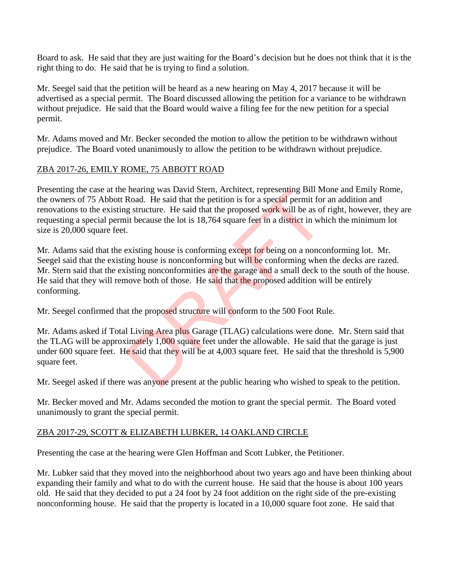Board to ask. He said that they are just waiting for the Board's decision but he does not think that it is the right thing to do. He said that he is trying to find a solution.

Mr. Seegel said that the petition will be heard as a new hearing on May 4, 2017 because it will be advertised as a special permit. The Board discussed allowing the petition for a variance to be withdrawn without prejudice. He said that the Board would waive a filing fee for the new petition for a special permit.

Mr. Adams moved and Mr. Becker seconded the motion to allow the petition to be withdrawn without prejudice. The Board voted unanimously to allow the petition to be withdrawn without prejudice.

## ZBA 2017-26, EMILY ROME, 75 ABBOTT ROAD

Presenting the case at the hearing was David Stern, Architect, representing Bill Mone and Emily Rome, the owners of 75 Abbott Road. He said that the petition is for a special permit for an addition and renovations to the existing structure. He said that the proposed work will be as of right, however, they are requesting a special permit because the lot is 18,764 square feet in a district in which the minimum lot size is 20,000 square feet.

Mr. Adams said that the existing house is conforming except for being on a nonconforming lot. Mr. Seegel said that the existing house is nonconforming but will be conforming when the decks are razed. Mr. Stern said that the existing nonconformities are the garage and a small deck to the south of the house. He said that they will remove both of those. He said that the proposed addition will be entirely conforming. hearing was David Stern, Architect, representing Bill M<br>Road. He said that the petition is for a special permit for<br>g structure. He said that the proposed work will be as of<br>it because the lot is 18,764 square feet in a di

Mr. Seegel confirmed that the proposed structure will conform to the 500 Foot Rule.

Mr. Adams asked if Total Living Area plus Garage (TLAG) calculations were done. Mr. Stern said that the TLAG will be approximately 1,000 square feet under the allowable. He said that the garage is just under 600 square feet. He said that they will be at 4,003 square feet. He said that the threshold is 5,900 square feet.

Mr. Seegel asked if there was anyone present at the public hearing who wished to speak to the petition.

Mr. Becker moved and Mr. Adams seconded the motion to grant the special permit. The Board voted unanimously to grant the special permit.

### ZBA 2017-29, SCOTT & ELIZABETH LUBKER, 14 OAKLAND CIRCLE

Presenting the case at the hearing were Glen Hoffman and Scott Lubker, the Petitioner.

Mr. Lubker said that they moved into the neighborhood about two years ago and have been thinking about expanding their family and what to do with the current house. He said that the house is about 100 years old. He said that they decided to put a 24 foot by 24 foot addition on the right side of the pre-existing nonconforming house. He said that the property is located in a 10,000 square foot zone. He said that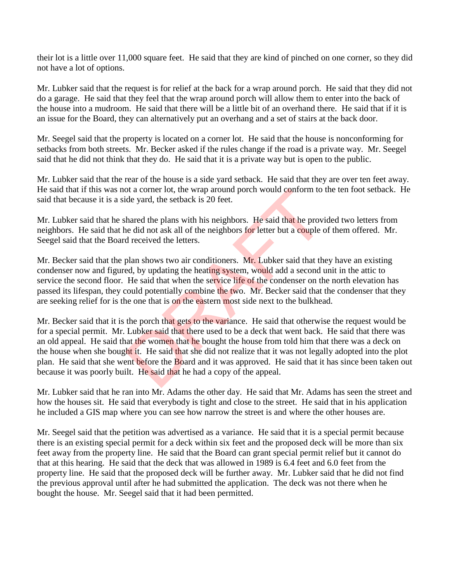their lot is a little over 11,000 square feet. He said that they are kind of pinched on one corner, so they did not have a lot of options.

Mr. Lubker said that the request is for relief at the back for a wrap around porch. He said that they did not do a garage. He said that they feel that the wrap around porch will allow them to enter into the back of the house into a mudroom. He said that there will be a little bit of an overhand there. He said that if it is an issue for the Board, they can alternatively put an overhang and a set of stairs at the back door.

Mr. Seegel said that the property is located on a corner lot. He said that the house is nonconforming for setbacks from both streets. Mr. Becker asked if the rules change if the road is a private way. Mr. Seegel said that he did not think that they do. He said that it is a private way but is open to the public.

Mr. Lubker said that the rear of the house is a side yard setback. He said that they are over ten feet away. He said that if this was not a corner lot, the wrap around porch would conform to the ten foot setback. He said that because it is a side yard, the setback is 20 feet.

Mr. Lubker said that he shared the plans with his neighbors. He said that he provided two letters from neighbors. He said that he did not ask all of the neighbors for letter but a couple of them offered. Mr. Seegel said that the Board received the letters.

Mr. Becker said that the plan shows two air conditioners. Mr. Lubker said that they have an existing condenser now and figured, by updating the heating system, would add a second unit in the attic to service the second floor. He said that when the service life of the condenser on the north elevation has passed its lifespan, they could potentially combine the two. Mr. Becker said that the condenser that they are seeking relief for is the one that is on the eastern most side next to the bulkhead.

Mr. Becker said that it is the porch that gets to the variance. He said that otherwise the request would be for a special permit. Mr. Lubker said that there used to be a deck that went back. He said that there was an old appeal. He said that the women that he bought the house from told him that there was a deck on the house when she bought it. He said that she did not realize that it was not legally adopted into the plot plan. He said that she went before the Board and it was approved. He said that it has since been taken out because it was poorly built. He said that he had a copy of the appeal. of a corner lot, the wrap around porch would conform to<br>de yard, the setback is 20 feet.<br>hared the plans with his neighbors. He said that he provide did not ask all of the neighbors for letter but a couple of<br>received the

Mr. Lubker said that he ran into Mr. Adams the other day. He said that Mr. Adams has seen the street and how the houses sit. He said that everybody is tight and close to the street. He said that in his application he included a GIS map where you can see how narrow the street is and where the other houses are.

Mr. Seegel said that the petition was advertised as a variance. He said that it is a special permit because there is an existing special permit for a deck within six feet and the proposed deck will be more than six feet away from the property line. He said that the Board can grant special permit relief but it cannot do that at this hearing. He said that the deck that was allowed in 1989 is 6.4 feet and 6.0 feet from the property line. He said that the proposed deck will be further away. Mr. Lubker said that he did not find the previous approval until after he had submitted the application. The deck was not there when he bought the house. Mr. Seegel said that it had been permitted.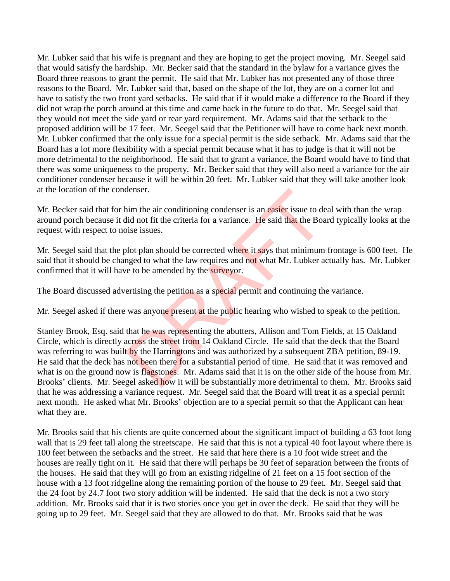Mr. Lubker said that his wife is pregnant and they are hoping to get the project moving. Mr. Seegel said that would satisfy the hardship. Mr. Becker said that the standard in the bylaw for a variance gives the Board three reasons to grant the permit. He said that Mr. Lubker has not presented any of those three reasons to the Board. Mr. Lubker said that, based on the shape of the lot, they are on a corner lot and have to satisfy the two front yard setbacks. He said that if it would make a difference to the Board if they did not wrap the porch around at this time and came back in the future to do that. Mr. Seegel said that they would not meet the side yard or rear yard requirement. Mr. Adams said that the setback to the proposed addition will be 17 feet. Mr. Seegel said that the Petitioner will have to come back next month. Mr. Lubker confirmed that the only issue for a special permit is the side setback. Mr. Adams said that the Board has a lot more flexibility with a special permit because what it has to judge is that it will not be more detrimental to the neighborhood. He said that to grant a variance, the Board would have to find that there was some uniqueness to the property. Mr. Becker said that they will also need a variance for the air conditioner condenser because it will be within 20 feet. Mr. Lubker said that they will take another look at the location of the condenser.

Mr. Becker said that for him the air conditioning condenser is an easier issue to deal with than the wrap around porch because it did not fit the criteria for a variance. He said that the Board typically looks at the request with respect to noise issues.

Mr. Seegel said that the plot plan should be corrected where it says that minimum frontage is 600 feet. He said that it should be changed to what the law requires and not what Mr. Lubker actually has. Mr. Lubker confirmed that it will have to be amended by the surveyor.

The Board discussed advertising the petition as a special permit and continuing the variance.

Mr. Seegel asked if there was anyone present at the public hearing who wished to speak to the petition.

Stanley Brook, Esq. said that he was representing the abutters, Allison and Tom Fields, at 15 Oakland Circle, which is directly across the street from 14 Oakland Circle. He said that the deck that the Board was referring to was built by the Harringtons and was authorized by a subsequent ZBA petition, 89-19. He said that the deck has not been there for a substantial period of time. He said that it was removed and what is on the ground now is flagstones. Mr. Adams said that it is on the other side of the house from Mr. Brooks' clients. Mr. Seegel asked how it will be substantially more detrimental to them. Mr. Brooks said that he was addressing a variance request. Mr. Seegel said that the Board will treat it as a special permit next month. He asked what Mr. Brooks' objection are to a special permit so that the Applicant can hear what they are. denser.<br>
in the air conditioning condenser is an **easier** issue to de<br>
id not fit the criteria for a variance. He said that the Boa<br>
ise issues.<br>
blot plan should be corrected where it says that minimum<br>
mged to what the l

Mr. Brooks said that his clients are quite concerned about the significant impact of building a 63 foot long wall that is 29 feet tall along the streetscape. He said that this is not a typical 40 foot layout where there is 100 feet between the setbacks and the street. He said that here there is a 10 foot wide street and the houses are really tight on it. He said that there will perhaps be 30 feet of separation between the fronts of the houses. He said that they will go from an existing ridgeline of 21 feet on a 15 foot section of the house with a 13 foot ridgeline along the remaining portion of the house to 29 feet. Mr. Seegel said that the 24 foot by 24.7 foot two story addition will be indented. He said that the deck is not a two story addition. Mr. Brooks said that it is two stories once you get in over the deck. He said that they will be going up to 29 feet. Mr. Seegel said that they are allowed to do that. Mr. Brooks said that he was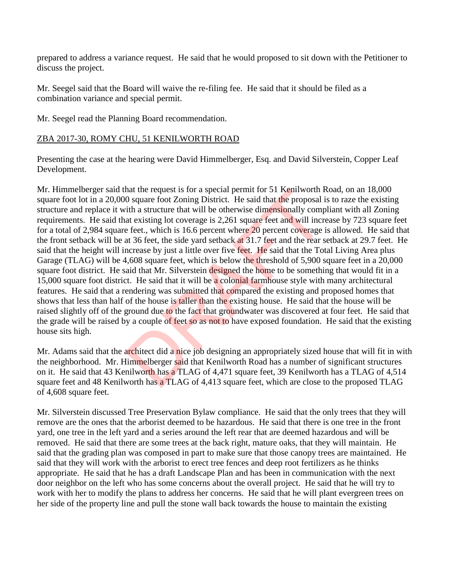prepared to address a variance request. He said that he would proposed to sit down with the Petitioner to discuss the project.

Mr. Seegel said that the Board will waive the re-filing fee. He said that it should be filed as a combination variance and special permit.

Mr. Seegel read the Planning Board recommendation.

### ZBA 2017-30, ROMY CHU, 51 KENILWORTH ROAD

Presenting the case at the hearing were David Himmelberger, Esq. and David Silverstein, Copper Leaf Development.

Mr. Himmelberger said that the request is for a special permit for 51 Kenilworth Road, on an 18,000 square foot lot in a 20,000 square foot Zoning District. He said that the proposal is to raze the existing structure and replace it with a structure that will be otherwise dimensionally compliant with all Zoning requirements. He said that existing lot coverage is 2,261 square feet and will increase by 723 square feet for a total of 2,984 square feet., which is 16.6 percent where 20 percent coverage is allowed. He said that the front setback will be at 36 feet, the side yard setback at 31.7 feet and the rear setback at 29.7 feet. He said that the height will increase by just a little over five feet. He said that the Total Living Area plus Garage (TLAG) will be 4,608 square feet, which is below the threshold of 5,900 square feet in a 20,000 square foot district. He said that Mr. Silverstein designed the home to be something that would fit in a 15,000 square foot district. He said that it will be a colonial farmhouse style with many architectural features. He said that a rendering was submitted that compared the existing and proposed homes that shows that less than half of the house is taller than the existing house. He said that the house will be raised slightly off of the ground due to the fact that groundwater was discovered at four feet. He said that the grade will be raised by a couple of feet so as not to have exposed foundation. He said that the existing house sits high. hat the request is for a special permit for 51 Kenilworth F<br>O square foot Zoning District. He said that the proposal i<br>tih a structure that will be otherwise dimensionally compare existing lot coverage is 2,261 square feet

Mr. Adams said that the architect did a nice job designing an appropriately sized house that will fit in with the neighborhood. Mr. Himmelberger said that Kenilworth Road has a number of significant structures on it. He said that 43 Kenilworth has a TLAG of 4,471 square feet, 39 Kenilworth has a TLAG of 4,514 square feet and 48 Kenilworth has a TLAG of 4,413 square feet, which are close to the proposed TLAG of 4,608 square feet.

Mr. Silverstein discussed Tree Preservation Bylaw compliance. He said that the only trees that they will remove are the ones that the arborist deemed to be hazardous. He said that there is one tree in the front yard, one tree in the left yard and a series around the left rear that are deemed hazardous and will be removed. He said that there are some trees at the back right, mature oaks, that they will maintain. He said that the grading plan was composed in part to make sure that those canopy trees are maintained. He said that they will work with the arborist to erect tree fences and deep root fertilizers as he thinks appropriate. He said that he has a draft Landscape Plan and has been in communication with the next door neighbor on the left who has some concerns about the overall project. He said that he will try to work with her to modify the plans to address her concerns. He said that he will plant evergreen trees on her side of the property line and pull the stone wall back towards the house to maintain the existing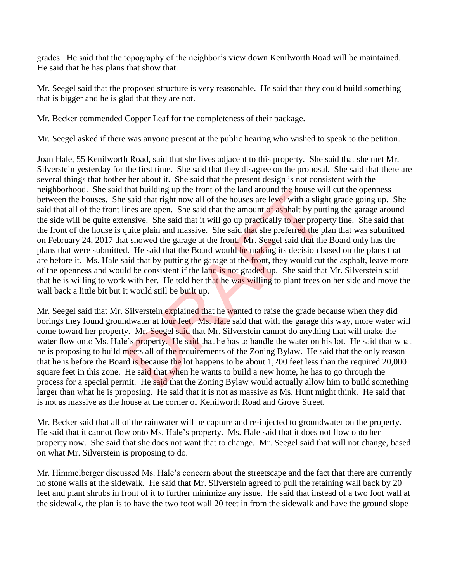grades. He said that the topography of the neighbor's view down Kenilworth Road will be maintained. He said that he has plans that show that.

Mr. Seegel said that the proposed structure is very reasonable. He said that they could build something that is bigger and he is glad that they are not.

Mr. Becker commended Copper Leaf for the completeness of their package.

Mr. Seegel asked if there was anyone present at the public hearing who wished to speak to the petition.

Joan Hale, 55 Kenilworth Road, said that she lives adjacent to this property. She said that she met Mr. Silverstein yesterday for the first time. She said that they disagree on the proposal. She said that there are several things that bother her about it. She said that the present design is not consistent with the neighborhood. She said that building up the front of the land around the house will cut the openness between the houses. She said that right now all of the houses are level with a slight grade going up. She said that all of the front lines are open. She said that the amount of asphalt by putting the garage around the side will be quite extensive. She said that it will go up practically to her property line. She said that the front of the house is quite plain and massive. She said that she preferred the plan that was submitted on February 24, 2017 that showed the garage at the front. Mr. Seegel said that the Board only has the plans that were submitted. He said that the Board would be making its decision based on the plans that are before it. Ms. Hale said that by putting the garage at the front, they would cut the asphalt, leave more of the openness and would be consistent if the land is not graded up. She said that Mr. Silverstein said that he is willing to work with her. He told her that he was willing to plant trees on her side and move the wall back a little bit but it would still be built up. that building up the front of the land around the house wi<br>said that right now all of the houses are level with a slight<br>ines are open. She said that the amount of asphalt by put<br>ensive. She said that it will go up practic

Mr. Seegel said that Mr. Silverstein explained that he wanted to raise the grade because when they did borings they found groundwater at four feet. Ms. Hale said that with the garage this way, more water will come toward her property. Mr. Seegel said that Mr. Silverstein cannot do anything that will make the water flow onto Ms. Hale's property. He said that he has to handle the water on his lot. He said that what he is proposing to build meets all of the requirements of the Zoning Bylaw. He said that the only reason that he is before the Board is because the lot happens to be about 1,200 feet less than the required 20,000 square feet in this zone. He said that when he wants to build a new home, he has to go through the process for a special permit. He said that the Zoning Bylaw would actually allow him to build something larger than what he is proposing. He said that it is not as massive as Ms. Hunt might think. He said that is not as massive as the house at the corner of Kenilworth Road and Grove Street.

Mr. Becker said that all of the rainwater will be capture and re-injected to groundwater on the property. He said that it cannot flow onto Ms. Hale's property. Ms. Hale said that it does not flow onto her property now. She said that she does not want that to change. Mr. Seegel said that will not change, based on what Mr. Silverstein is proposing to do.

Mr. Himmelberger discussed Ms. Hale's concern about the streetscape and the fact that there are currently no stone walls at the sidewalk. He said that Mr. Silverstein agreed to pull the retaining wall back by 20 feet and plant shrubs in front of it to further minimize any issue. He said that instead of a two foot wall at the sidewalk, the plan is to have the two foot wall 20 feet in from the sidewalk and have the ground slope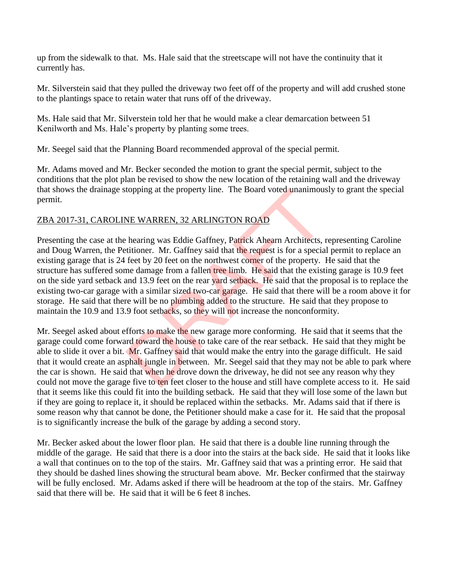up from the sidewalk to that. Ms. Hale said that the streetscape will not have the continuity that it currently has.

Mr. Silverstein said that they pulled the driveway two feet off of the property and will add crushed stone to the plantings space to retain water that runs off of the driveway.

Ms. Hale said that Mr. Silverstein told her that he would make a clear demarcation between 51 Kenilworth and Ms. Hale's property by planting some trees.

Mr. Seegel said that the Planning Board recommended approval of the special permit.

Mr. Adams moved and Mr. Becker seconded the motion to grant the special permit, subject to the conditions that the plot plan be revised to show the new location of the retaining wall and the driveway that shows the drainage stopping at the property line. The Board voted unanimously to grant the special permit.

# ZBA 2017-31, CAROLINE WARREN, 32 ARLINGTON ROAD

Presenting the case at the hearing was Eddie Gaffney, Patrick Ahearn Architects, representing Caroline and Doug Warren, the Petitioner. Mr. Gaffney said that the request is for a special permit to replace an existing garage that is 24 feet by 20 feet on the northwest corner of the property. He said that the structure has suffered some damage from a fallen tree limb. He said that the existing garage is 10.9 feet on the side yard setback and 13.9 feet on the rear yard setback. He said that the proposal is to replace the existing two-car garage with a similar sized two-car garage. He said that there will be a room above it for storage. He said that there will be no plumbing added to the structure. He said that they propose to maintain the 10.9 and 13.9 foot setbacks, so they will not increase the nonconformity. topping at the property line. The Board voted unanimous<br>
NE WARREN, 32 ARLINGTON ROAD<br>
hearing was Eddie Gaffney, Patrick Ahearn Architects,<br>
tititioner. Mr. Gaffney said that the request is for a specia<br>
feet by 20 feet o

Mr. Seegel asked about efforts to make the new garage more conforming. He said that it seems that the garage could come forward toward the house to take care of the rear setback. He said that they might be able to slide it over a bit. Mr. Gaffney said that would make the entry into the garage difficult. He said that it would create an asphalt jungle in between. Mr. Seegel said that they may not be able to park where the car is shown. He said that when he drove down the driveway, he did not see any reason why they could not move the garage five to ten feet closer to the house and still have complete access to it. He said that it seems like this could fit into the building setback. He said that they will lose some of the lawn but if they are going to replace it, it should be replaced within the setbacks. Mr. Adams said that if there is some reason why that cannot be done, the Petitioner should make a case for it. He said that the proposal is to significantly increase the bulk of the garage by adding a second story.

Mr. Becker asked about the lower floor plan. He said that there is a double line running through the middle of the garage. He said that there is a door into the stairs at the back side. He said that it looks like a wall that continues on to the top of the stairs. Mr. Gaffney said that was a printing error. He said that they should be dashed lines showing the structural beam above. Mr. Becker confirmed that the stairway will be fully enclosed. Mr. Adams asked if there will be headroom at the top of the stairs. Mr. Gaffney said that there will be. He said that it will be 6 feet 8 inches.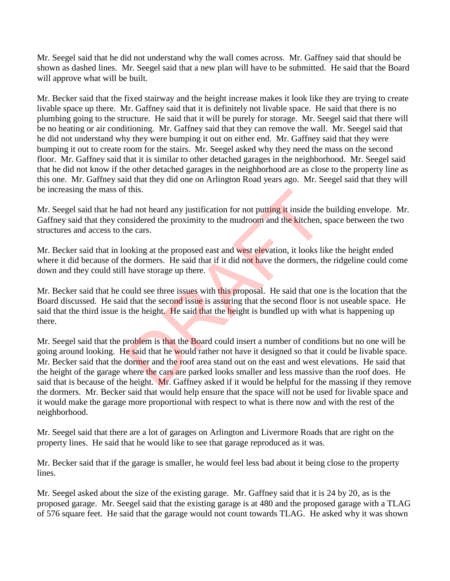Mr. Seegel said that he did not understand why the wall comes across. Mr. Gaffney said that should be shown as dashed lines. Mr. Seegel said that a new plan will have to be submitted. He said that the Board will approve what will be built.

Mr. Becker said that the fixed stairway and the height increase makes it look like they are trying to create livable space up there. Mr. Gaffney said that it is definitely not livable space. He said that there is no plumbing going to the structure. He said that it will be purely for storage. Mr. Seegel said that there will be no heating or air conditioning. Mr. Gaffney said that they can remove the wall. Mr. Seegel said that he did not understand why they were bumping it out on either end. Mr. Gaffney said that they were bumping it out to create room for the stairs. Mr. Seegel asked why they need the mass on the second floor. Mr. Gaffney said that it is similar to other detached garages in the neighborhood. Mr. Seegel said that he did not know if the other detached garages in the neighborhood are as close to the property line as this one. Mr. Gaffney said that they did one on Arlington Road years ago. Mr. Seegel said that they will be increasing the mass of this.

Mr. Seegel said that he had not heard any justification for not putting it inside the building envelope. Mr. Gaffney said that they considered the proximity to the mudroom and the kitchen, space between the two structures and access to the cars.

Mr. Becker said that in looking at the proposed east and west elevation, it looks like the height ended where it did because of the dormers. He said that if it did not have the dormers, the ridgeline could come down and they could still have storage up there.

Mr. Becker said that he could see three issues with this proposal. He said that one is the location that the Board discussed. He said that the second issue is assuring that the second floor is not useable space. He said that the third issue is the height. He said that the height is bundled up with what is happening up there.

Mr. Seegel said that the problem is that the Board could insert a number of conditions but no one will be going around looking. He said that he would rather not have it designed so that it could be livable space. Mr. Becker said that the dormer and the roof area stand out on the east and west elevations. He said that the height of the garage where the cars are parked looks smaller and less massive than the roof does. He said that is because of the height. Mr. Gaffney asked if it would be helpful for the massing if they remove the dormers. Mr. Becker said that would help ensure that the space will not be used for livable space and it would make the garage more proportional with respect to what is there now and with the rest of the neighborhood. this.<br>
ad not heard any justification for not putting it inside the<br>
nsidered the proximity to the mudroom and the kitchen,<br>
he cars.<br>
boking at the proposed east and west elevation, it looks lift<br>
he dormers. He said that

Mr. Seegel said that there are a lot of garages on Arlington and Livermore Roads that are right on the property lines. He said that he would like to see that garage reproduced as it was.

Mr. Becker said that if the garage is smaller, he would feel less bad about it being close to the property lines.

Mr. Seegel asked about the size of the existing garage. Mr. Gaffney said that it is 24 by 20, as is the proposed garage. Mr. Seegel said that the existing garage is at 480 and the proposed garage with a TLAG of 576 square feet. He said that the garage would not count towards TLAG. He asked why it was shown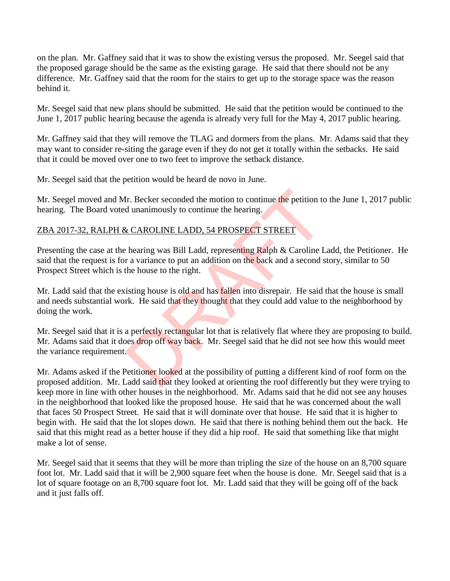on the plan. Mr. Gaffney said that it was to show the existing versus the proposed. Mr. Seegel said that the proposed garage should be the same as the existing garage. He said that there should not be any difference. Mr. Gaffney said that the room for the stairs to get up to the storage space was the reason behind it.

Mr. Seegel said that new plans should be submitted. He said that the petition would be continued to the June 1, 2017 public hearing because the agenda is already very full for the May 4, 2017 public hearing.

Mr. Gaffney said that they will remove the TLAG and dormers from the plans. Mr. Adams said that they may want to consider re-siting the garage even if they do not get it totally within the setbacks. He said that it could be moved over one to two feet to improve the setback distance.

Mr. Seegel said that the petition would be heard de novo in June.

Mr. Seegel moved and Mr. Becker seconded the motion to continue the petition to the June 1, 2017 public hearing. The Board voted unanimously to continue the hearing.

### ZBA 2017-32, RALPH & CAROLINE LADD, 54 PROSPECT STREET

Presenting the case at the hearing was Bill Ladd, representing Ralph & Caroline Ladd, the Petitioner. He said that the request is for a variance to put an addition on the back and a second story, similar to 50 Prospect Street which is the house to the right.

Mr. Ladd said that the existing house is old and has fallen into disrepair. He said that the house is small and needs substantial work. He said that they thought that they could add value to the neighborhood by doing the work.

Mr. Seegel said that it is a perfectly rectangular lot that is relatively flat where they are proposing to build. Mr. Adams said that it does drop off way back. Mr. Seegel said that he did not see how this would meet the variance requirement. Ir. Becker seconded the motion to continue the petition to<br>d unanimously to continue the hearing.<br><br><br>
EXAROLINE LADD, 54 PROSPECT STREET<br>
hearing was Bill Ladd, representing Ralph & Caroline L<br>
r a variance to put an additi

Mr. Adams asked if the Petitioner looked at the possibility of putting a different kind of roof form on the proposed addition. Mr. Ladd said that they looked at orienting the roof differently but they were trying to keep more in line with other houses in the neighborhood. Mr. Adams said that he did not see any houses in the neighborhood that looked like the proposed house. He said that he was concerned about the wall that faces 50 Prospect Street. He said that it will dominate over that house. He said that it is higher to begin with. He said that the lot slopes down. He said that there is nothing behind them out the back. He said that this might read as a better house if they did a hip roof. He said that something like that might make a lot of sense.

Mr. Seegel said that it seems that they will be more than tripling the size of the house on an 8,700 square foot lot. Mr. Ladd said that it will be 2,900 square feet when the house is done. Mr. Seegel said that is a lot of square footage on an 8,700 square foot lot. Mr. Ladd said that they will be going off of the back and it just falls off.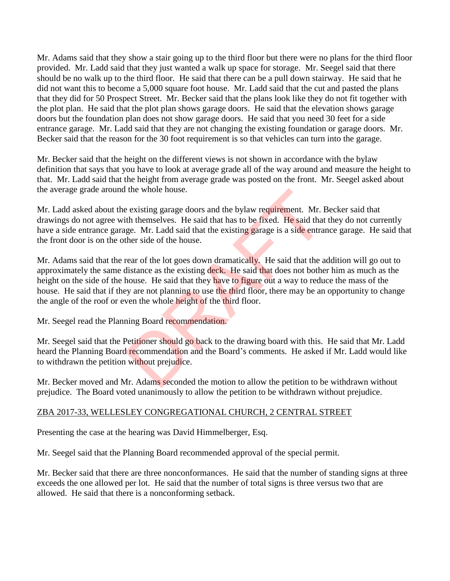Mr. Adams said that they show a stair going up to the third floor but there were no plans for the third floor provided. Mr. Ladd said that they just wanted a walk up space for storage. Mr. Seegel said that there should be no walk up to the third floor. He said that there can be a pull down stairway. He said that he did not want this to become a 5,000 square foot house. Mr. Ladd said that the cut and pasted the plans that they did for 50 Prospect Street. Mr. Becker said that the plans look like they do not fit together with the plot plan. He said that the plot plan shows garage doors. He said that the elevation shows garage doors but the foundation plan does not show garage doors. He said that you need 30 feet for a side entrance garage. Mr. Ladd said that they are not changing the existing foundation or garage doors. Mr. Becker said that the reason for the 30 foot requirement is so that vehicles can turn into the garage.

Mr. Becker said that the height on the different views is not shown in accordance with the bylaw definition that says that you have to look at average grade all of the way around and measure the height to that. Mr. Ladd said that the height from average grade was posted on the front. Mr. Seegel asked about the average grade around the whole house.

Mr. Ladd asked about the existing garage doors and the bylaw requirement. Mr. Becker said that drawings do not agree with themselves. He said that has to be fixed. He said that they do not currently have a side entrance garage. Mr. Ladd said that the existing garage is a side entrance garage. He said that the front door is on the other side of the house.

Mr. Adams said that the rear of the lot goes down dramatically. He said that the addition will go out to approximately the same distance as the existing deck. He said that does not bother him as much as the height on the side of the house. He said that they have to figure out a way to reduce the mass of the house. He said that if they are not planning to use the third floor, there may be an opportunity to change the angle of the roof or even the whole height of the third floor. the whole house.<br>
Le existing garage doors and the bylaw requirement. Mr. I<br>
th themselves. He said that has to be fixed. He said that<br>
dege. Mr. Ladd said that the existing garage is a side entra<br>
ther side of the house.<br>

Mr. Seegel read the Planning Board recommendation.

Mr. Seegel said that the Petitioner should go back to the drawing board with this. He said that Mr. Ladd heard the Planning Board recommendation and the Board's comments. He asked if Mr. Ladd would like to withdrawn the petition without prejudice.

Mr. Becker moved and Mr. Adams seconded the motion to allow the petition to be withdrawn without prejudice. The Board voted unanimously to allow the petition to be withdrawn without prejudice.

# ZBA 2017-33, WELLESLEY CONGREGATIONAL CHURCH, 2 CENTRAL STREET

Presenting the case at the hearing was David Himmelberger, Esq.

Mr. Seegel said that the Planning Board recommended approval of the special permit.

Mr. Becker said that there are three nonconformances. He said that the number of standing signs at three exceeds the one allowed per lot. He said that the number of total signs is three versus two that are allowed. He said that there is a nonconforming setback.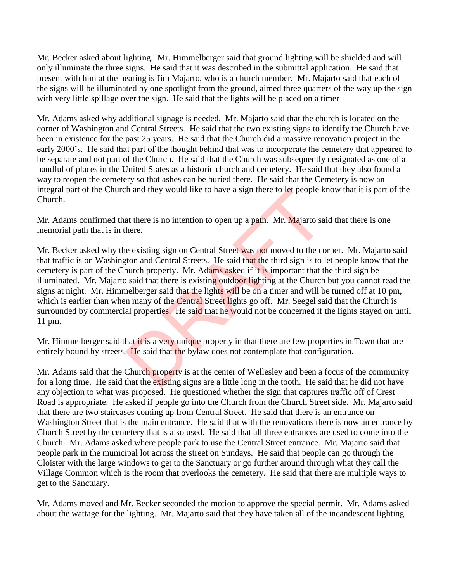Mr. Becker asked about lighting. Mr. Himmelberger said that ground lighting will be shielded and will only illuminate the three signs. He said that it was described in the submittal application. He said that present with him at the hearing is Jim Majarto, who is a church member. Mr. Majarto said that each of the signs will be illuminated by one spotlight from the ground, aimed three quarters of the way up the sign with very little spillage over the sign. He said that the lights will be placed on a timer

Mr. Adams asked why additional signage is needed. Mr. Majarto said that the church is located on the corner of Washington and Central Streets. He said that the two existing signs to identify the Church have been in existence for the past 25 years. He said that the Church did a massive renovation project in the early 2000's. He said that part of the thought behind that was to incorporate the cemetery that appeared to be separate and not part of the Church. He said that the Church was subsequently designated as one of a handful of places in the United States as a historic church and cemetery. He said that they also found a way to reopen the cemetery so that ashes can be buried there. He said that the Cemetery is now an integral part of the Church and they would like to have a sign there to let people know that it is part of the Church.

Mr. Adams confirmed that there is no intention to open up a path. Mr. Majarto said that there is one memorial path that is in there.

Mr. Becker asked why the existing sign on Central Street was not moved to the corner. Mr. Majarto said that traffic is on Washington and Central Streets. He said that the third sign is to let people know that the cemetery is part of the Church property. Mr. Adams asked if it is important that the third sign be illuminated. Mr. Majarto said that there is existing outdoor lighting at the Church but you cannot read the signs at night. Mr. Himmelberger said that the lights will be on a timer and will be turned off at 10 pm, which is earlier than when many of the Central Street lights go off. Mr. Seegel said that the Church is surrounded by commercial properties. He said that he would not be concerned if the lights stayed on until 11 pm. The and they would like to have a sign there to let people k<br>at there is no intention to open up a path. Mr. Majarto sa<br>here.<br>e existing sign on Central Street was not moved to the co<br>ton and Central Streets. He said that

Mr. Himmelberger said that it is a very unique property in that there are few properties in Town that are entirely bound by streets. He said that the bylaw does not contemplate that configuration.

Mr. Adams said that the Church property is at the center of Wellesley and been a focus of the community for a long time. He said that the existing signs are a little long in the tooth. He said that he did not have any objection to what was proposed. He questioned whether the sign that captures traffic off of Crest Road is appropriate. He asked if people go into the Church from the Church Street side. Mr. Majarto said that there are two staircases coming up from Central Street. He said that there is an entrance on Washington Street that is the main entrance. He said that with the renovations there is now an entrance by Church Street by the cemetery that is also used. He said that all three entrances are used to come into the Church. Mr. Adams asked where people park to use the Central Street entrance. Mr. Majarto said that people park in the municipal lot across the street on Sundays. He said that people can go through the Cloister with the large windows to get to the Sanctuary or go further around through what they call the Village Common which is the room that overlooks the cemetery. He said that there are multiple ways to get to the Sanctuary.

Mr. Adams moved and Mr. Becker seconded the motion to approve the special permit. Mr. Adams asked about the wattage for the lighting. Mr. Majarto said that they have taken all of the incandescent lighting